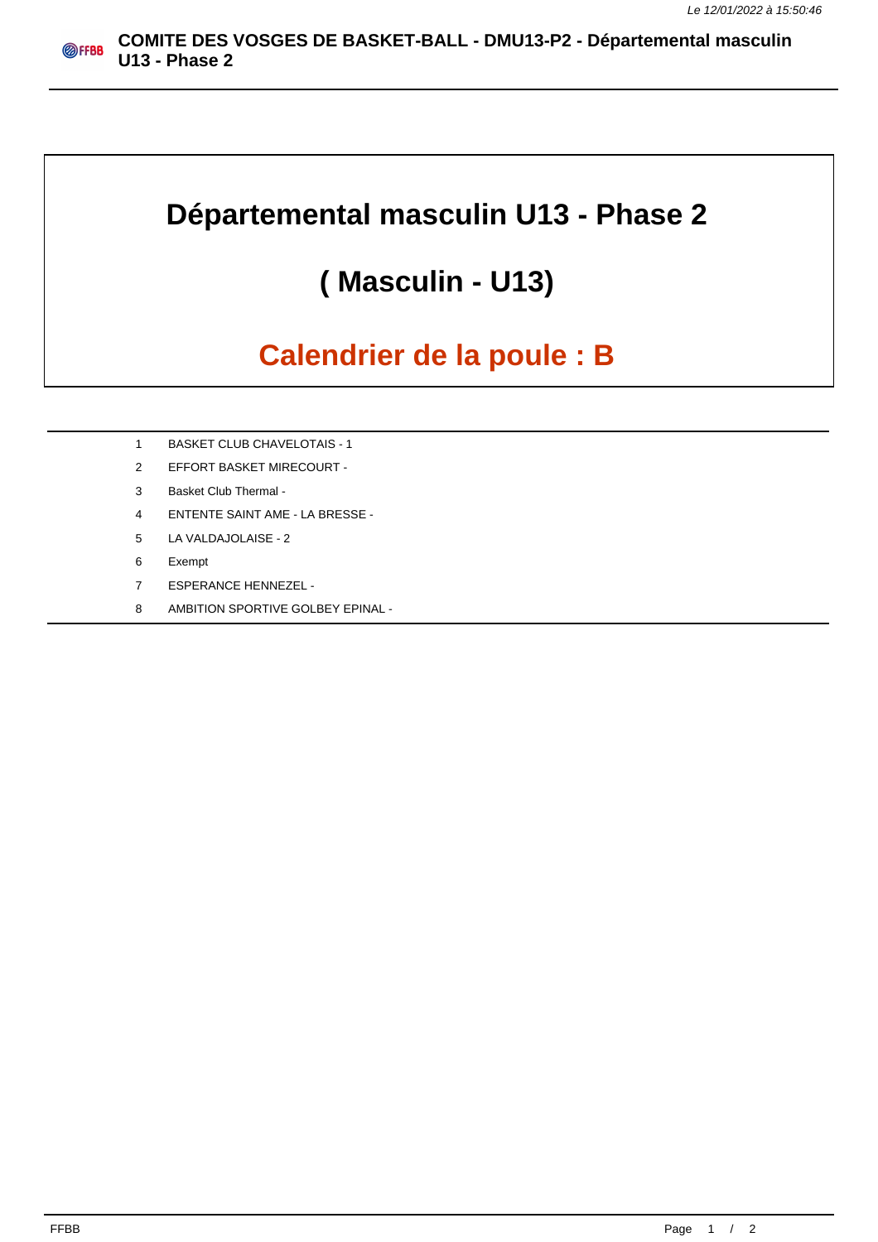## **Départemental masculin U13 - Phase 2**

## **( Masculin - U13)**

## **Calendrier de la poule : B**

- 1 BASKET CLUB CHAVELOTAIS 1
- 2 EFFORT BASKET MIRECOURT -
- 3 Basket Club Thermal -
- 4 ENTENTE SAINT AME LA BRESSE -
- 5 LA VALDAJOLAISE 2
- 6 Exempt
- 7 ESPERANCE HENNEZEL -
- 8 AMBITION SPORTIVE GOLBEY EPINAL -